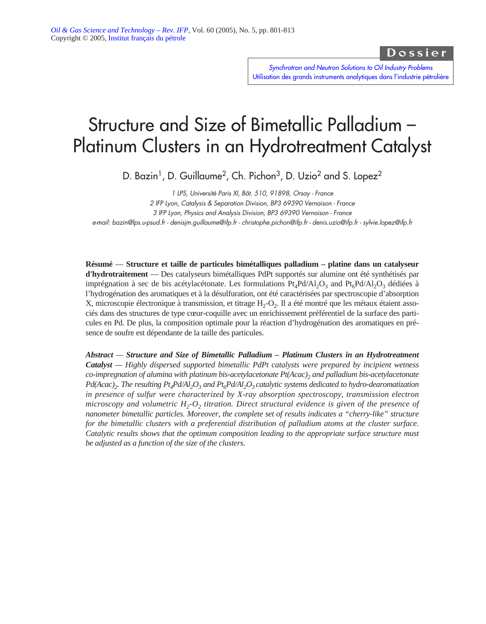Dossier

*Synchrotron and Neutron Solutions to Oil Industry Problems* [Utilisation des grands instruments analytiques dans l'industrie pétrolière](http://ogst.ifp.fr/index.php?option=toc&url=/articles/ogst/abs/2005/05/contents/contents.html)

# Structure and Size of Bimetallic Palladium – Platinum Clusters in an Hydrotreatment Catalyst

D. Bazin<sup>1</sup>, D. Guillaume<sup>2</sup>, Ch. Pichon<sup>3</sup>, D. Uzio<sup>2</sup> and S. Lopez<sup>2</sup>

*1 LPS, Université Paris XI, Bât. 510, 91898, Orsay - France 2 IFP Lyon, Catalysis & Separation Division, BP3 69390 Vernaison - France 3 IFP Lyon, Physics and Analysis Division, BP3 69390 Vernaison - France e-mail: bazin@lps.u-psud.fr - denisjm.guillaume@ifp.fr - christophe.pichon@ifp.fr - denis.uzio@ifp.fr - sylvie.lopez@ifp.fr*

**Résumé** — **Structure et taille de particules bimétalliques palladium – platine dans un catalyseur d'hydrotraitement** — Des catalyseurs bimétalliques PdPt supportés sur alumine ont été synthétisés par imprégnation à sec de bis acétylacétonate. Les formulations  $Pt_4Pd/Al_2O_3$  and  $Pt_6Pd/Al_2O_3$  dédiées à l'hydrogénation des aromatiques et à la désulfuration, ont été caractérisées par spectroscopie d'absorption X, microscopie électronique à transmission, et titrage  $H_2-O_2$ . Il a été montré que les métaux étaient associés dans des structures de type cœur-coquille avec un enrichissement préférentiel de la surface des particules en Pd. De plus, la composition optimale pour la réaction d'hydrogénation des aromatiques en présence de soufre est dépendante de la taille des particules.

*Abstract — Structure and Size of Bimetallic Palladium – Platinum Clusters in an Hydrotreatment Catalyst — Highly dispersed supported bimetallic PdPt catalysts were prepared by incipient wetness co-impregnation of alumina with platinum bis-acetylacetonate Pt(Acac)2 and palladium bis-acetylacetonate Pd(Acac)<sub>2</sub>. The resulting Pt<sub>4</sub>Pd/Al<sub>2</sub>O<sub>3</sub> and Pt<sub>6</sub>Pd/Al<sub>2</sub>O<sub>3</sub> catalytic systems dedicated to hydro-dearomatization in presence of sulfur were characterized by X-ray absorption spectroscopy, transmission electron microscopy and volumetric*  $H_2$ *-O<sub>2</sub> <i>titration. Direct structural evidence is given of the presence of nanometer bimetallic particles. Moreover, the complete set of results indicates a "cherry-like" structure for the bimetallic clusters with a preferential distribution of palladium atoms at the cluster surface. Catalytic results shows that the optimum composition leading to the appropriate surface structure must be adjusted as a function of the size of the clusters.*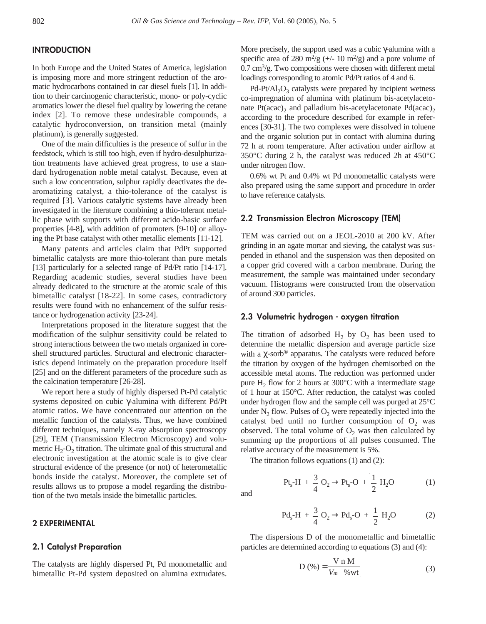# **INTRODUCTION**

In both Europe and the United States of America, legislation is imposing more and more stringent reduction of the aromatic hydrocarbons contained in car diesel fuels [1]. In addition to their carcinogenic characteristic, mono- or poly-cyclic aromatics lower the diesel fuel quality by lowering the cetane index [2]. To remove these undesirable compounds, a catalytic hydroconversion, on transition metal (mainly platinum), is generally suggested.

One of the main difficulties is the presence of sulfur in the feedstock, which is still too high, even if hydro-desulphurization treatments have achieved great progress, to use a standard hydrogenation noble metal catalyst. Because, even at such a low concentration, sulphur rapidly deactivates the dearomatizing catalyst, a thio-tolerance of the catalyst is required [3]. Various catalytic systems have already been investigated in the literature combining a thio-tolerant metallic phase with supports with different acido-basic surface properties [4-8], with addition of promoters [9-10] or alloying the Pt base catalyst with other metallic elements [11-12].

Many patents and articles claim that PdPt supported bimetallic catalysts are more thio-tolerant than pure metals [13] particularly for a selected range of Pd/Pt ratio [14-17]. Regarding academic studies, several studies have been already dedicated to the structure at the atomic scale of this bimetallic catalyst [18-22]. In some cases, contradictory results were found with no enhancement of the sulfur resistance or hydrogenation activity [23-24].

Interpretations proposed in the literature suggest that the modification of the sulphur sensitivity could be related to strong interactions between the two metals organized in coreshell structured particles. Structural and electronic characteristics depend intimately on the preparation procedure itself [25] and on the different parameters of the procedure such as the calcination temperature [26-28].

We report here a study of highly dispersed Pt-Pd catalytic systems deposited on cubic γ-alumina with different Pd/Pt atomic ratios. We have concentrated our attention on the metallic function of the catalysts. Thus, we have combined different techniques, namely X-ray absorption spectroscopy [29], TEM (Transmission Electron Microscopy) and volumetric  $H_2-O_2$  titration. The ultimate goal of this structural and electronic investigation at the atomic scale is to give clear structural evidence of the presence (or not) of heterometallic bonds inside the catalyst. Moreover, the complete set of results allows us to propose a model regarding the distribution of the two metals inside the bimetallic particles.

## **2 EXPERIMENTAL**

#### **2.1 Catalyst Preparation**

The catalysts are highly dispersed Pt, Pd monometallic and bimetallic Pt-Pd system deposited on alumina extrudates. More precisely, the support used was a cubic γ-alumina with a specific area of 280 m<sup>2</sup>/g (+/- 10 m<sup>2</sup>/g) and a pore volume of  $0.7 \text{ cm}^3/\text{g}$ . Two compositions were chosen with different metal loadings corresponding to atomic Pd/Pt ratios of 4 and 6.

 $Pd-Pt/Al_2O_3$  catalysts were prepared by incipient wetness co-impregnation of alumina with platinum bis-acetylacetonate  $Pt(acac)_2$  and palladium bis-acetylacetonate  $Pd(acac)_2$ according to the procedure described for example in references [30-31]. The two complexes were dissolved in toluene and the organic solution put in contact with alumina during 72 h at room temperature. After activation under airflow at 350°C during 2 h, the catalyst was reduced 2h at 450°C under nitrogen flow.

0.6% wt Pt and 0.4% wt Pd monometallic catalysts were also prepared using the same support and procedure in order to have reference catalysts.

## **2.2 Transmission Electron Microscopy (TEM)**

TEM was carried out on a JEOL-2010 at 200 kV. After grinding in an agate mortar and sieving, the catalyst was suspended in ethanol and the suspension was then deposited on a copper grid covered with a carbon membrane. During the measurement, the sample was maintained under secondary vacuum. Histograms were constructed from the observation of around 300 particles.

#### **2.3 Volumetric hydrogen - oxygen titration**

The titration of adsorbed  $H_2$  by  $O_2$  has been used to determine the metallic dispersion and average particle size with a  $\chi$ -sorb<sup>®</sup> apparatus. The catalysts were reduced before the titration by oxygen of the hydrogen chemisorbed on the accessible metal atoms. The reduction was performed under pure  $H_2$  flow for 2 hours at 300°C with a intermediate stage of 1 hour at 150°C. After reduction, the catalyst was cooled under hydrogen flow and the sample cell was purged at 25°C under  $N_2$  flow. Pulses of  $O_2$  were repeatedly injected into the catalyst bed until no further consumption of  $O_2$  was observed. The total volume of  $O_2$  was then calculated by summing up the proportions of all pulses consumed. The relative accuracy of the measurement is 5%.

The titration follows equations (1) and (2):

and

$$
Pt_s \cdot H + \frac{3}{4} O_2 \rightarrow Pt_s \cdot O + \frac{1}{2} H_2 O \qquad (1)
$$

$$
Pd_s - H + \frac{3}{4} O_2 \to Pd_s - O + \frac{1}{2} H_2 O
$$
 (2)

The dispersions D of the monometallic and bimetallic particles are determined according to equations (3) and (4):

$$
D\left(\% \right) = \frac{V n M}{V_m \quad \% wt} \tag{3}
$$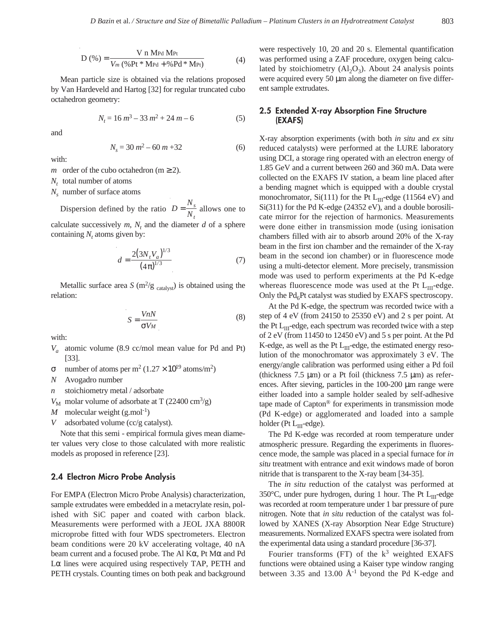$$
D(\%) = \frac{V n M_{Pd} M_{Pt}}{V_m (\% Pt * M_{Pd} + \%Pd * M_{Pt})}
$$
(4)

Mean particle size is obtained via the relations proposed by Van Hardeveld and Hartog [32] for regular truncated cubo octahedron geometry:

$$
N_t = 16 m^3 - 33 m^2 + 24 m - 6
$$
 (5)

and

$$
N_s = 30 m^2 - 60 m + 32 \tag{6}
$$

with:

*m* order of the cubo octahedron ( $m \ge 2$ ).

*Nt* total number of atoms

*N<sub>s</sub>* number of surface atoms

Dispersion defined by the ratio  $D = \frac{N_s}{N_s}$  allows one to calculate successively  $m$ ,  $N_t$  and the diameter  $d$  of a sphere containing  $N_t$  atoms given by: *N s t* =

$$
d = \frac{2\left(3N_t V_a\right)^{1/3}}{\left(4\pi\right)^{1/3}}\tag{7}
$$

Metallic surface area *S* ( $m^2/g$  <sub>catalyst</sub>) is obtained using the relation:

$$
S = \frac{VnN}{\sigma V_M} \tag{8}
$$

with:

- *Va* atomic volume (8.9 cc/mol mean value for Pd and Pt) [33].
- σ number of atoms per m<sup>2</sup> (1.27 × 10<sup>19</sup> atoms/m<sup>2</sup>)

*N* Avogadro number

- *n* stoichiometry metal / adsorbate
- $V_M$  molar volume of adsorbate at T (22400 cm<sup>3</sup>/g)

*M* molecular weight  $(g$ .mol<sup>-1</sup>)

*V* adsorbated volume (cc/g catalyst).

Note that this semi - empirical formula gives mean diameter values very close to those calculated with more realistic models as proposed in reference [23].

## **2.4 Electron Micro Probe Analysis**

For EMPA (Electron Micro Probe Analysis) characterization, sample extrudates were embedded in a metacrylate resin, polished with SiC paper and coated with carbon black. Measurements were performed with a JEOL JXA 8800R microprobe fitted with four WDS spectrometers. Electron beam conditions were 20 kV accelerating voltage, 40 nA beam current and a focused probe. The Al Kα, Pt Mα and Pd Lα lines were acquired using respectively TAP, PETH and PETH crystals. Counting times on both peak and background were respectively 10, 20 and 20 s. Elemental quantification was performed using a ZAF procedure, oxygen being calculated by stoichiometry  $(A1_2O_3)$ . About 24 analysis points were acquired every 50  $\mu$ m along the diameter on five different sample extrudates.

# **2.5 Extended X-ray Absorption Fine Structure (EXAFS)**

X-ray absorption experiments (with both *in situ* and *ex situ* reduced catalysts) were performed at the LURE laboratory using DCI, a storage ring operated with an electron energy of 1.85 GeV and a current between 260 and 360 mA. Data were collected on the EXAFS IV station, a beam line placed after a bending magnet which is equipped with a double crystal monochromator, Si(111) for the Pt  $L_{III}$ -edge (11564 eV) and Si(311) for the Pd K-edge (24352 eV), and a double borosilicate mirror for the rejection of harmonics. Measurements were done either in transmission mode (using ionisation chambers filled with air to absorb around 20% of the X-ray beam in the first ion chamber and the remainder of the X-ray beam in the second ion chamber) or in fluorescence mode using a multi-detector element. More precisely, transmission mode was used to perform experiments at the Pd K-edge whereas fluorescence mode was used at the Pt  $L_{III}$ -edge. Only the  $Pd_6Pt$  catalyst was studied by EXAFS spectroscopy.

At the Pd K-edge, the spectrum was recorded twice with a step of 4 eV (from 24150 to 25350 eV) and 2 s per point. At the Pt  $L_{\text{III}}$ -edge, each spectrum was recorded twice with a step of 2 eV (from 11450 to 12450 eV) and 5 s per point. At the Pd K-edge, as well as the Pt  $L_{III}$ -edge, the estimated energy resolution of the monochromator was approximately 3 eV. The energy/angle calibration was performed using either a Pd foil (thickness  $7.5 \mu m$ ) or a Pt foil (thickness  $7.5 \mu m$ ) as references. After sieving, particles in the 100-200 µm range were either loaded into a sample holder sealed by self-adhesive tape made of Capton® for experiments in transmission mode (Pd K-edge) or agglomerated and loaded into a sample holder (Pt  $L_{III}$ -edge).

The Pd K-edge was recorded at room temperature under atmospheric pressure. Regarding the experiments in fluorescence mode, the sample was placed in a special furnace for *in situ* treatment with entrance and exit windows made of boron nitride that is transparent to the X-ray beam [34-35].

The *in situ* reduction of the catalyst was performed at 350 $\degree$ C, under pure hydrogen, during 1 hour. The Pt L<sub>III</sub>-edge was recorded at room temperature under 1 bar pressure of pure nitrogen. Note that *in situ* reduction of the catalyst was followed by XANES (X-ray Absorption Near Edge Structure) measurements. Normalized EXAFS spectra were isolated from the experimental data using a standard procedure [36-37].

Fourier transforms (FT) of the  $k^3$  weighted EXAFS functions were obtained using a Kaiser type window ranging between 3.35 and 13.00  $A^{-1}$  beyond the Pd K-edge and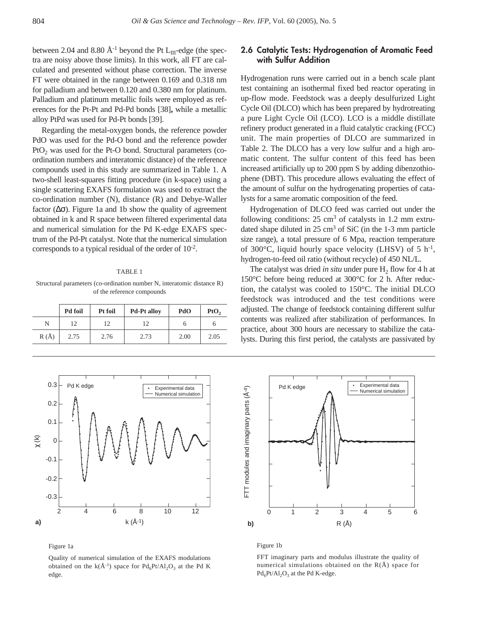between 2.04 and 8.80  $\AA$ <sup>-1</sup> beyond the Pt L<sub>III</sub>-edge (the spectra are noisy above those limits). In this work, all FT are calculated and presented without phase correction. The inverse FT were obtained in the range between 0.169 and 0.318 nm for palladium and between 0.120 and 0.380 nm for platinum. Palladium and platinum metallic foils were employed as references for the Pt-Pt and Pd-Pd bonds [38]**,** while a metallic alloy PtPd was used for Pd-Pt bonds [39].

Regarding the metal-oxygen bonds, the reference powder PdO was used for the Pd-O bond and the reference powder  $PtO<sub>2</sub>$  was used for the Pt-O bond. Structural parameters (coordination numbers and interatomic distance) of the reference compounds used in this study are summarized in Table 1. A two-shell least-squares fitting procedure (in k-space) using a single scattering EXAFS formulation was used to extract the co-ordination number (N), distance (R) and Debye-Waller factor  $(\Delta \sigma)$ . Figure 1a and 1b show the quality of agreement obtained in k and R space between filtered experimental data and numerical simulation for the Pd K-edge EXAFS spectrum of the Pd-Pt catalyst. Note that the numerical simulation corresponds to a typical residual of the order of 10-2.

#### TABLE 1

Structural parameters (co-ordination number N, interatomic distance R) of the reference compounds

|          | Pd foil | Pt foil | <b>Pd-Pt alloy</b> | PdO  | P <sub>t</sub> O <sub>2</sub> |
|----------|---------|---------|--------------------|------|-------------------------------|
| N        | 12      | 12      | 12                 | n    |                               |
| $R(\AA)$ | 2.75    | 2.76    | 2.73               | 2.00 | 2.05                          |



Hydrogenation runs were carried out in a bench scale plant test containing an isothermal fixed bed reactor operating in up-flow mode. Feedstock was a deeply desulfurized Light Cycle Oil (DLCO) which has been prepared by hydrotreating a pure Light Cycle Oil (LCO). LCO is a middle distillate refinery product generated in a fluid catalytic cracking (FCC) unit. The main properties of DLCO are summarized in Table 2. The DLCO has a very low sulfur and a high aromatic content. The sulfur content of this feed has been increased artificially up to 200 ppm S by adding dibenzothiophene (DBT). This procedure allows evaluating the effect of the amount of sulfur on the hydrogenating properties of catalysts for a same aromatic composition of the feed.

Hydrogenation of DLCO feed was carried out under the following conditions:  $25 \text{ cm}^3$  of catalysts in 1.2 mm extrudated shape diluted in  $25 \text{ cm}^3$  of SiC (in the 1-3 mm particle size range), a total pressure of 6 Mpa, reaction temperature of 300 $^{\circ}$ C, liquid hourly space velocity (LHSV) of 5 h<sup>-1</sup>, hydrogen-to-feed oil ratio (without recycle) of 450 NL/L.

The catalyst was dried *in situ* under pure  $H_2$  flow for 4 h at 150°C before being reduced at 300°C for 2 h. After reduction, the catalyst was cooled to 150°C. The initial DLCO feedstock was introduced and the test conditions were adjusted. The change of feedstock containing different sulfur contents was realized after stabilization of performances. In practice, about 300 hours are necessary to stabilize the catalysts. During this first period, the catalysts are passivated by



Figure 1a

Quality of numerical simulation of the EXAFS modulations obtained on the k( $\AA^{-1}$ ) space for Pd<sub>6</sub>Pt/Al<sub>2</sub>O<sub>3</sub> at the Pd K edge.



#### Figure 1b

FFT imaginary parts and modulus illustrate the quality of numerical simulations obtained on the  $R(\AA)$  space for  $Pd_6Pt/Al_2O_3$  at the Pd K-edge.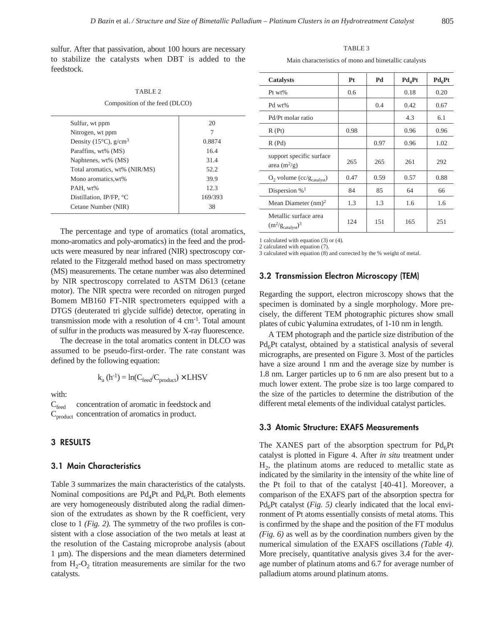sulfur. After that passivation, about 100 hours are necessary to stabilize the catalysts when DBT is added to the feedstock.

TABLE 2 Composition of the feed (DLCO)

| Sulfur, wt ppm                               | 20      |
|----------------------------------------------|---------|
| Nitrogen, wt ppm                             | 7       |
| Density (15 $^{\circ}$ C), g/cm <sup>3</sup> | 0.8874  |
| Paraffins, wt% (MS)                          | 16.4    |
| Naphtenes, wt% (MS)                          | 31.4    |
| Total aromatics, wt% (NIR/MS)                | 52.2    |
| Mono aromatics.wt%                           | 39.9    |
| PAH, wt%                                     | 12.3    |
| Distillation, IP/FP, °C                      | 169/393 |
| Cetane Number (NIR)                          | 38      |
|                                              |         |

The percentage and type of aromatics (total aromatics, mono-aromatics and poly-aromatics) in the feed and the products were measured by near infrared (NIR) spectroscopy correlated to the Fitzgerald method based on mass spectrometry (MS) measurements. The cetane number was also determined by NIR spectroscopy correlated to ASTM D613 (cetane motor). The NIR spectra were recorded on nitrogen purged Bomem MB160 FT-NIR spectrometers equipped with a DTGS (deuterated tri glycide sulfide) detector, operating in transmission mode with a resolution of  $4 \text{ cm}^{-1}$ . Total amount of sulfur in the products was measured by X-ray fluorescence.

The decrease in the total aromatics content in DLCO was assumed to be pseudo-first-order. The rate constant was defined by the following equation:

$$
k_a(h^{-1}) = ln(C_{feed}/C_{product}) \times LHSV
$$

with:

 $C_{\text{feed}}$  concentration of aromatic in feedstock and C<sub>product</sub> concentration of aromatics in product.

## **3 RESULTS**

## **3.1 Main Characteristics**

Table 3 summarizes the main characteristics of the catalysts. Nominal compositions are  $Pd_4Pt$  and  $Pd_6Pt$ . Both elements are very homogeneously distributed along the radial dimension of the extrudates as shown by the R coefficient, very close to 1 *(Fig. 2).* The symmetry of the two profiles is consistent with a close association of the two metals at least at the resolution of the Castaing microprobe analysis (about 1 µm). The dispersions and the mean diameters determined from  $H_2$ -O<sub>2</sub> titration measurements are similar for the two catalysts.

TABLE 3 Main characteristics of mono and bimetallic catalysts

| Catalysts                                              | Pt            | Pd   | $Pd_4Pt$ | $Pd_6Pt$ |
|--------------------------------------------------------|---------------|------|----------|----------|
| $Pt w t$ %                                             | $0.6^{\circ}$ |      | 0.18     | 0.20     |
| Pd wt%                                                 |               | 0.4  | 0.42     | 0.67     |
| Pd/Pt molar ratio                                      |               |      | 4.3      | 6.1      |
| R(Pt)                                                  | 0.98          |      | 0.96     | 0.96     |
| R(Pd)                                                  |               | 0.97 | 0.96     | 1.02     |
| support specific surface<br>area $(m^2/g)$             | 265           | 265  | 261      | 292      |
| $O_2$ volume $(cc/g_{catalyst})$                       | 0.47          | 0.59 | 0.57     | 0.88     |
| Dispersion $\%$ <sup>1</sup>                           | 84            | 85   | 64       | 66       |
| Mean Diameter $(nm)^2$                                 | 1.3           | 1.3  | 1.6      | 1.6      |
| Metallic surface area<br>$(m^2/g_{\text{catalyst}})^3$ | 124           | 151  | 165      | 251      |

1 calculated with equation (3) or (4).

2 calculated with equation (7). 3 calculated with equation (8) and corrected by the % weight of metal.

## **3.2 Transmission Electron Microscopy (TEM)**

Regarding the support, electron microscopy shows that the specimen is dominated by a single morphology. More precisely, the different TEM photographic pictures show small plates of cubic γ-alumina extrudates, of 1-10 nm in length.

A TEM photograph and the particle size distribution of the  $Pd<sub>6</sub>Pt$  catalyst, obtained by a statistical analysis of several micrographs, are presented on Figure 3. Most of the particles have a size around 1 nm and the average size by number is 1.8 nm. Larger particles up to 6 nm are also present but to a much lower extent. The probe size is too large compared to the size of the particles to determine the distribution of the different metal elements of the individual catalyst particles.

## **3.3 Atomic Structure: EXAFS Measurements**

The XANES part of the absorption spectrum for  $Pd_6Pt$ catalyst is plotted in Figure 4. After *in situ* treatment under  $H<sub>2</sub>$ , the platinum atoms are reduced to metallic state as indicated by the similarity in the intensity of the white line of the Pt foil to that of the catalyst [40-41]. Moreover, a comparison of the EXAFS part of the absorption spectra for Pd<sub>6</sub>Pt catalyst (*Fig. 5*) clearly indicated that the local environment of Pt atoms essentially consists of metal atoms. This is confirmed by the shape and the position of the FT modulus *(Fig. 6)* as well as by the coordination numbers given by the numerical simulation of the EXAFS oscillations *(Table 4)*. More precisely, quantitative analysis gives 3.4 for the average number of platinum atoms and 6.7 for average number of palladium atoms around platinum atoms.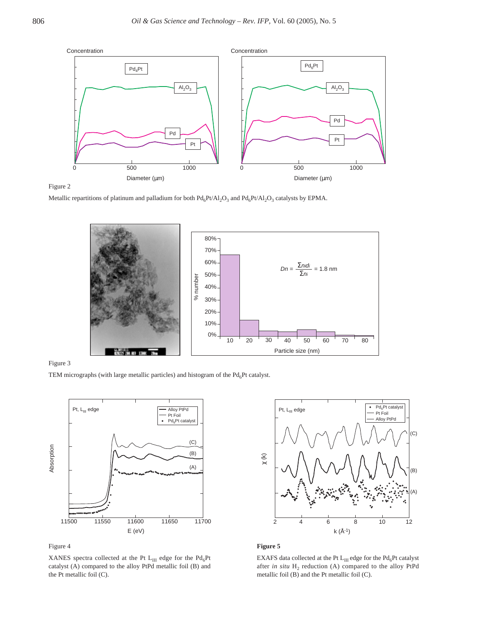

Figure 2

Metallic repartitions of platinum and palladium for both  $Pd_6Pt/Al_2O_3$  and  $Pd_6Pt/Al_2O_3$  catalysts by EPMA.



#### Figure 3

TEM micrographs (with large metallic particles) and histogram of the  $Pd_6Pt$  catalyst.





XANES spectra collected at the Pt  $L_{III}$  edge for the Pd<sub>6</sub>Pt catalyst (A) compared to the alloy PtPd metallic foil (B) and the Pt metallic foil (C).



#### **Figure 5**

EXAFS data collected at the Pt  $L_{III}$  edge for the Pd<sub>6</sub>Pt catalyst after *in situ* H<sub>2</sub> reduction (A) compared to the alloy PtPd metallic foil (B) and the Pt metallic foil (C).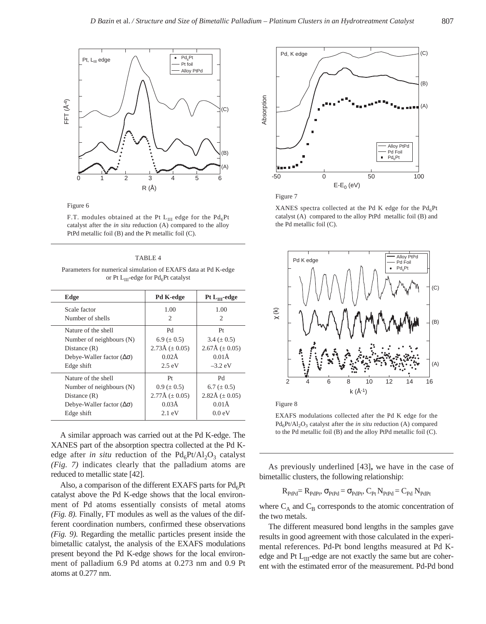

Figure 6

F.T. modules obtained at the Pt  $L_{III}$  edge for the Pd<sub>6</sub>Pt catalyst after the *in situ* reduction (A) compared to the alloy PtPd metallic foil (B) and the Pt metallic foil (C).

#### TABLE 4

Parameters for numerical simulation of EXAFS data at Pd K-edge or Pt  $L_{III}$ -edge for Pd<sub>6</sub>Pt catalyst

| Edge                                  | Pd K-edge                      | Pt $L_{III}$ -edge             |
|---------------------------------------|--------------------------------|--------------------------------|
| Scale factor                          | 1.00                           | 1.00                           |
| Number of shells                      | 2                              | 2                              |
| Nature of the shell                   | Pd                             | Pt                             |
| Number of neighbours (N)              | 6.9 ( $\pm$ 0.5)               | $3.4 (\pm 0.5)$                |
| Distance $(R)$                        | $2.73\text{\AA}$ ( $\pm$ 0.05) | $2.67\text{\AA}$ ( $\pm$ 0.05) |
| Debye-Waller factor $(\Delta \sigma)$ | $0.02\text{\AA}$               | $0.01\text{\AA}$               |
| Edge shift                            | $2.5 \text{ eV}$               | $-3.2$ eV                      |
| Nature of the shell                   | Pt                             | Pd                             |
| Number of neighbours (N)              | $0.9 \ (\pm 0.5)$              | $6.7 (\pm 0.5)$                |
| Distance $(R)$                        | $2.77\text{\AA}$ ( $\pm$ 0.05) | 2.82Å ( $\pm$ 0.05)            |
| Debye-Waller factor $(\Delta \sigma)$ | $0.03\AA$                      | $0.01\text{\AA}$               |
| Edge shift                            | $2.1 \text{ eV}$               | 0.0 eV                         |

A similar approach was carried out at the Pd K-edge. The XANES part of the absorption spectra collected at the Pd Kedge after *in situ* reduction of the  $Pd_6Pt/Al_2O_3$  catalyst *(Fig. 7)* indicates clearly that the palladium atoms are reduced to metallic state [42].

Also, a comparison of the different EXAFS parts for  $Pd_6Pt$ catalyst above the Pd K-edge shows that the local environment of Pd atoms essentially consists of metal atoms *(Fig. 8).* Finally, FT modules as well as the values of the different coordination numbers, confirmed these observations *(Fig. 9).* Regarding the metallic particles present inside the bimetallic catalyst, the analysis of the EXAFS modulations present beyond the Pd K-edge shows for the local environment of palladium 6.9 Pd atoms at 0.273 nm and 0.9 Pt atoms at 0.277 nm.



Figure 7

XANES spectra collected at the Pd K edge for the  $Pd_6Pt$ catalyst (A) compared to the alloy PtPd metallic foil (B) and the Pd metallic foil (C).



Figure 8

EXAFS modulations collected after the Pd K edge for the Pd<sub>6</sub>Pt/Al<sub>2</sub>O<sub>3</sub> catalyst after the *in situ* reduction (A) compared to the Pd metallic foil (B) and the alloy PtPd metallic foil (C).

As previously underlined [43]**,** we have in the case of bimetallic clusters, the following relationship:

$$
R_{PtPd} = R_{PdPt}, \sigma_{PtPd} = \sigma_{PdPt}, C_{Pt} N_{PtPd} = C_{Pd} N_{PdPt}
$$

where  $C_A$  and  $C_B$  corresponds to the atomic concentration of the two metals.

The different measured bond lengths in the samples gave results in good agreement with those calculated in the experimental references. Pd-Pt bond lengths measured at Pd Kedge and Pt  $L_{III}$ -edge are not exactly the same but are coherent with the estimated error of the measurement. Pd-Pd bond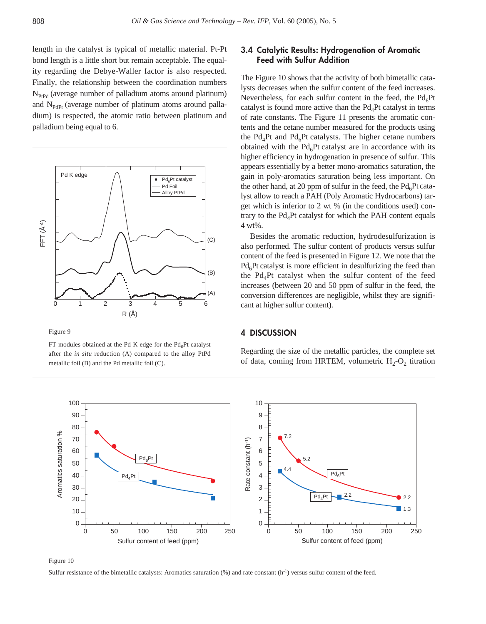length in the catalyst is typical of metallic material. Pt-Pt bond length is a little short but remain acceptable. The equality regarding the Debye-Waller factor is also respected. Finally, the relationship between the coordination numbers  $N_{PtPd}$  (average number of palladium atoms around platinum) and N<sub>PdPt</sub> (average number of platinum atoms around palladium) is respected, the atomic ratio between platinum and palladium being equal to 6.



Figure 9

FT modules obtained at the Pd K edge for the  $Pd_6Pt$  catalyst after the *in situ* reduction (A) compared to the alloy PtPd metallic foil (B) and the Pd metallic foil (C).

# **3.4 Catalytic Results: Hydrogenation of Aromatic Feed with Sulfur Addition**

The Figure 10 shows that the activity of both bimetallic catalysts decreases when the sulfur content of the feed increases. Nevertheless, for each sulfur content in the feed, the  $Pd<sub>6</sub>Pt$ catalyst is found more active than the  $Pd<sub>4</sub>Pt$  catalyst in terms of rate constants. The Figure 11 presents the aromatic contents and the cetane number measured for the products using the  $Pd_4Pt$  and  $Pd_6Pt$  catalysts. The higher cetane numbers obtained with the  $Pd_6Pt$  catalyst are in accordance with its higher efficiency in hydrogenation in presence of sulfur. This appears essentially by a better mono-aromatics saturation, the gain in poly-aromatics saturation being less important. On the other hand, at 20 ppm of sulfur in the feed, the  $Pd_6Pt$  catalyst allow to reach a PAH (Poly Aromatic Hydrocarbons) target which is inferior to 2 wt % (in the conditions used) contrary to the  $Pd<sub>4</sub>Pt$  catalyst for which the PAH content equals 4 wt%.

Besides the aromatic reduction, hydrodesulfurization is also performed. The sulfur content of products versus sulfur content of the feed is presented in Figure 12. We note that the  $Pd_6Pt$  catalyst is more efficient in desulfurizing the feed than the Pd<sub>4</sub>Pt catalyst when the sulfur content of the feed increases (between 20 and 50 ppm of sulfur in the feed, the conversion differences are negligible, whilst they are significant at higher sulfur content).

# **4 DISCUSSION**

Regarding the size of the metallic particles, the complete set of data, coming from HRTEM, volumetric  $H_2-O_2$  titration



Figure 10

Sulfur resistance of the bimetallic catalysts: Aromatics saturation  $(\%)$  and rate constant (h<sup>-1</sup>) versus sulfur content of the feed.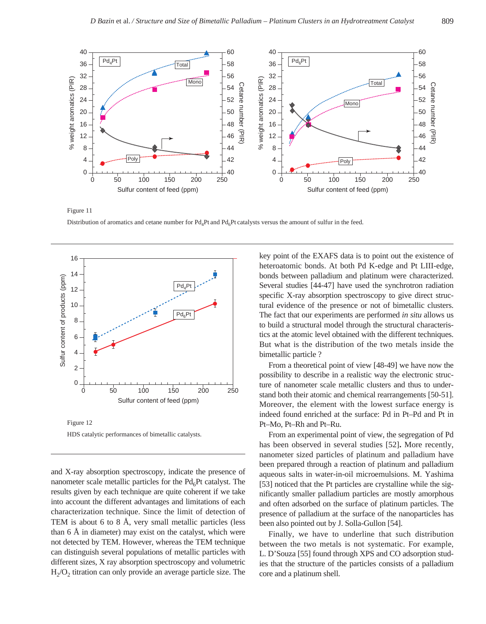

Distribution of aromatics and cetane number for  $Pd_APt$  and  $Pd_APt$  catalysts versus the amount of sulfur in the feed.



Figure 11

HDS catalytic performances of bimetallic catalysts.

and X-ray absorption spectroscopy, indicate the presence of nanometer scale metallic particles for the  $Pd<sub>6</sub>Pt$  catalyst. The results given by each technique are quite coherent if we take into account the different advantages and limitations of each characterization technique. Since the limit of detection of TEM is about 6 to 8 Å, very small metallic particles (less than 6 Å in diameter) may exist on the catalyst, which were not detected by TEM. However, whereas the TEM technique can distinguish several populations of metallic particles with different sizes, X ray absorption spectroscopy and volumetric  $H<sub>2</sub>/O<sub>2</sub>$  titration can only provide an average particle size. The key point of the EXAFS data is to point out the existence of heteroatomic bonds. At both Pd K-edge and Pt LIII-edge, bonds between palladium and platinum were characterized. Several studies [44-47] have used the synchrotron radiation specific X-ray absorption spectroscopy to give direct structural evidence of the presence or not of bimetallic clusters. The fact that our experiments are performed *in situ* allows us to build a structural model through the structural characteristics at the atomic level obtained with the different techniques. But what is the distribution of the two metals inside the bimetallic particle ?

From a theoretical point of view [48-49] we have now the possibility to describe in a realistic way the electronic structure of nanometer scale metallic clusters and thus to understand both their atomic and chemical rearrangements [50-51]. Moreover, the element with the lowest surface energy is indeed found enriched at the surface: Pd in Pt–Pd and Pt in Pt–Mo, Pt–Rh and Pt–Ru.

From an experimental point of view, the segregation of Pd has been observed in several studies [52]**.** More recently, nanometer sized particles of platinum and palladium have been prepared through a reaction of platinum and palladium aqueous salts in water-in-oil microemulsions. M. Yashima [53] noticed that the Pt particles are crystalline while the significantly smaller palladium particles are mostly amorphous and often adsorbed on the surface of platinum particles. The presence of palladium at the surface of the nanoparticles has been also pointed out by J. Solla-Gullon [54].

Finally, we have to underline that such distribution between the two metals is not systematic. For example, L. D'Souza [55] found through XPS and CO adsorption studies that the structure of the particles consists of a palladium core and a platinum shell.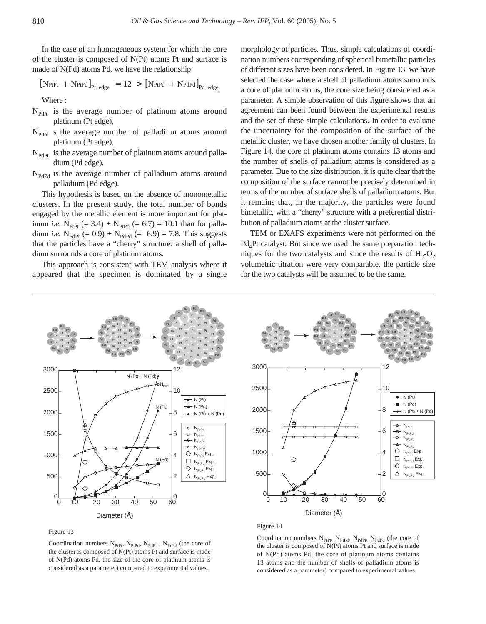In the case of an homogeneous system for which the core of the cluster is composed of N(Pt) atoms Pt and surface is made of N(Pd) atoms Pd, we have the relationship:

$$
[N_{\text{PtPt}} + N_{\text{PtPd}}]_{\text{Pt edge}} = 12 > [N_{\text{PtPd}} + N_{\text{PdPd}}]_{\text{Pd edge}}
$$

Where :

- $N_{\text{PtPt}}$  is the average number of platinum atoms around platinum (Pt edge),
- $N_{PtPd}$  s the average number of palladium atoms around platinum (Pt edge),
- $N_{\text{PdPt}}$  is the average number of platinum atoms around palladium (Pd edge),
- $N_{\text{PdPd}}$  is the average number of palladium atoms around palladium (Pd edge).

This hypothesis is based on the absence of monometallic clusters. In the present study, the total number of bonds engaged by the metallic element is more important for platinum *i.e.*  $N_{\text{PtPt}}$  (= 3.4) +  $N_{\text{PtPd}}$  (= 6.7) = 10.1 than for palladium *i.e.* N<sub>PdPt</sub> (= 0.9) + N<sub>PdPd</sub> (= 6.9) = 7.8. This suggests that the particles have a "cherry" structure: a shell of palladium surrounds a core of platinum atoms.

This approach is consistent with TEM analysis where it appeared that the specimen is dominated by a single morphology of particles. Thus, simple calculations of coordination numbers corresponding of spherical bimetallic particles of different sizes have been considered. In Figure 13, we have selected the case where a shell of palladium atoms surrounds a core of platinum atoms, the core size being considered as a parameter. A simple observation of this figure shows that an agreement can been found between the experimental results and the set of these simple calculations. In order to evaluate the uncertainty for the composition of the surface of the metallic cluster, we have chosen another family of clusters. In Figure 14, the core of platinum atoms contains 13 atoms and the number of shells of palladium atoms is considered as a parameter. Due to the size distribution, it is quite clear that the composition of the surface cannot be precisely determined in terms of the number of surface shells of palladium atoms. But it remains that, in the majority, the particles were found bimetallic, with a "cherry" structure with a preferential distribution of palladium atoms at the cluster surface.

TEM or EXAFS experiments were not performed on the Pd<sub>4</sub>Pt catalyst. But since we used the same preparation techniques for the two catalysts and since the results of  $H_2$ -O<sub>2</sub> volumetric titration were very comparable, the particle size for the two catalysts will be assumed to be the same.





Coordination numbers  $N_{PtPt}$ ,  $N_{PtPd}$ ,  $N_{PdPt}$ ,  $N_{PdPd}$  (the core of the cluster is composed of N(Pt) atoms Pt and surface is made of N(Pd) atoms Pd, the size of the core of platinum atoms is considered as a parameter) compared to experimental values.



#### Figure 14

Coordination numbers  $N_{\text{PtPt}}$ ,  $N_{\text{PtPt}}$ ,  $N_{\text{PdPt}}$ ,  $N_{\text{PdPd}}$  (the core of the cluster is composed of N(Pt) atoms Pt and surface is made of N(Pd) atoms Pd, the core of platinum atoms contains 13 atoms and the number of shells of palladium atoms is considered as a parameter) compared to experimental values.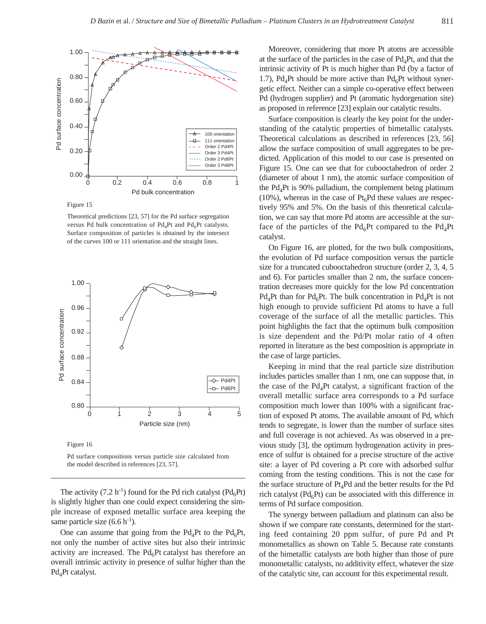

Figure 15

Theoretical predictions [23, 57] for the Pd surface segregation versus Pd bulk concentration of  $Pd<sub>4</sub>Pt$  and  $Pd<sub>6</sub>Pt$  catalysts. Surface composition of particles is obtained by the intersect of the curves 100 or 111 orientation and the straight lines.



Figure 16

Pd surface compositions versus particle size calculated from the model described in references [23, 57].

The activity (7.2 h<sup>-1</sup>) found for the Pd rich catalyst ( $Pd_6Pt$ ) is slightly higher than one could expect considering the simple increase of exposed metallic surface area keeping the same particle size  $(6.6 h<sup>-1</sup>)$ .

One can assume that going from the  $Pd_4Pt$  to the  $Pd_6Pt$ , not only the number of active sites but also their intrinsic activity are increased. The  $Pd_6Pt$  catalyst has therefore an overall intrinsic activity in presence of sulfur higher than the  $Pd<sub>4</sub>Pt$  catalyst.

Moreover, considering that more Pt atoms are accessible at the surface of the particles in the case of  $Pd<sub>4</sub>Pt$ , and that the intrinsic activity of Pt is much higher than Pd (by a factor of 1.7), Pd<sub>4</sub>Pt should be more active than Pd<sub>6</sub>Pt without synergetic effect. Neither can a simple co-operative effect between Pd (hydrogen supplier) and Pt (aromatic hydorgenation site) as proposed in reference [23] explain our catalytic results.

Surface composition is clearly the key point for the understanding of the catalytic properties of bimetallic catalysts. Theoretical calculations as described in references [23, 56] allow the surface composition of small aggregates to be predicted. Application of this model to our case is presented on Figure 15. One can see that for cubooctahedron of order 2 (diameter of about 1 nm), the atomic surface composition of the  $Pd_4Pt$  is 90% palladium, the complement being platinum (10%), whereas in the case of  $Pt<sub>6</sub>Pd$  these values are respectively 95% and 5%. On the basis of this theoretical calculation, we can say that more Pd atoms are accessible at the surface of the particles of the Pd<sub>6</sub>Pt compared to the Pd<sub>4</sub>Pt catalyst.

On Figure 16, are plotted, for the two bulk compositions, the evolution of Pd surface composition versus the particle size for a truncated cubooctahedron structure (order 2, 3, 4, 5 and 6). For particles smaller than 2 nm, the surface concentration decreases more quickly for the low Pd concentration  $Pd_4Pt$  than for Pd<sub>6</sub>Pt. The bulk concentration in Pd<sub>4</sub>Pt is not high enough to provide sufficient Pd atoms to have a full coverage of the surface of all the metallic particles. This point highlights the fact that the optimum bulk composition is size dependent and the Pd/Pt molar ratio of 4 often reported in literature as the best composition is appropriate in the case of large particles.

Keeping in mind that the real particle size distribution includes particles smaller than 1 nm, one can suppose that, in the case of the  $Pd_4Pt$  catalyst, a significant fraction of the overall metallic surface area corresponds to a Pd surface composition much lower than 100% with a significant fraction of exposed Pt atoms. The available amount of Pd, which tends to segregate, is lower than the number of surface sites and full coverage is not achieved. As was observed in a previous study [3], the optimum hydrogenation activity in presence of sulfur is obtained for a precise structure of the active site: a layer of Pd covering a Pt core with adsorbed sulfur coming from the testing conditions. This is not the case for the surface structure of  $Pt_4Pd$  and the better results for the Pd rich catalyst ( $Pd_6Pt$ ) can be associated with this difference in terms of Pd surface composition.

The synergy between palladium and platinum can also be shown if we compare rate constants, determined for the starting feed containing 20 ppm sulfur, of pure Pd and Pt monometallics as shown on Table 5. Because rate constants of the bimetallic catalysts are both higher than those of pure monometallic catalysts, no additivity effect, whatever the size of the catalytic site, can account for this experimental result.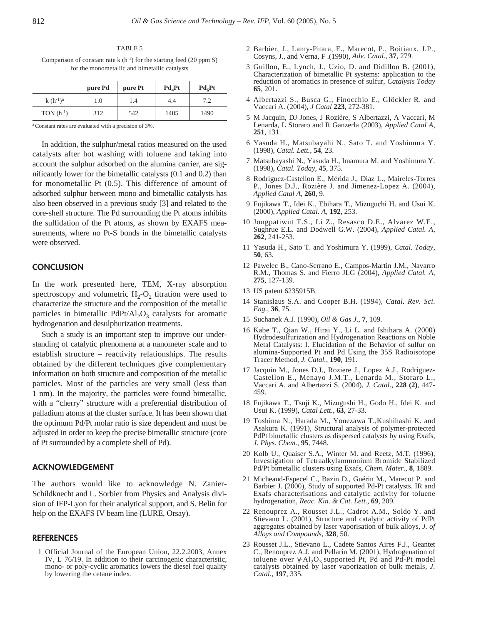TABLE 5 Comparison of constant rate k  $(h^{-1})$  for the starting feed (20 ppm S) for the monometallic and bimetallic catalysts

|                | pure Pd | pure Pt | $Pd_4Pt$ | $Pd_6Pt$ |
|----------------|---------|---------|----------|----------|
| $k(h^{-1})^a$  | 0.1     | 1.4     | 4.4      | 7.2      |
| TON $(h^{-1})$ | 312     | 542     | 1405     | 1490     |

a Constant rates are evaluated with a precision of 3%.

In addition, the sulphur/metal ratios measured on the used catalysts after hot washing with toluene and taking into account the sulphur adsorbed on the alumina carrier, are significantly lower for the bimetallic catalysts (0.1 and 0.2) than for monometallic Pt (0.5). This difference of amount of adsorbed sulphur between mono and bimetallic catalysts has also been observed in a previous study [3] and related to the core-shell structure. The Pd surrounding the Pt atoms inhibits the sulfidation of the Pt atoms, as shown by EXAFS measurements, where no Pt-S bonds in the bimetallic catalysts were observed.

## **CONCLUSION**

In the work presented here, TEM, X-ray absorption spectroscopy and volumetric  $H_2-O_2$  titration were used to characterize the structure and the composition of the metallic particles in bimetallic  $PdPt/Al_2O_3$  catalysts for aromatic hydrogenation and desulphurization treatments.

Such a study is an important step to improve our understanding of catalytic phenomena at a nanometer scale and to establish structure – reactivity relationships. The results obtained by the different techniques give complementary information on both structure and composition of the metallic particles. Most of the particles are very small (less than 1 nm). In the majority, the particles were found bimetallic, with a "cherry" structure with a preferential distribution of palladium atoms at the cluster surface. It has been shown that the optimum Pd/Pt molar ratio is size dependent and must be adjusted in order to keep the precise bimetallic structure (core of Pt surrounded by a complete shell of Pd).

## **ACKNOWLEDGEMENT**

The authors would like to acknowledge N. Zanier-Schildknecht and L. Sorbier from Physics and Analysis division of IFP-Lyon for their analytical support, and S. Belin for help on the EXAFS IV beam line (LURE, Orsay).

#### **REFERENCES**

1 Official Journal of the European Union, 22.2.2003, Annex IV, L 76/19. In addition to their carcinogenic characteristic, mono- or poly-cyclic aromatics lowers the diesel fuel quality by lowering the cetane index.

- 2 Barbier, J., Lamy-Pitara, E., Marecot, P., Boitiaux, J.P., Cosyns, J., and Verna, F .(1990), *Adv. Catal.*, **37**, 279.
- 3 Guillon, E., Lynch, J., Uzio, D. and Didillon B. (2001), Characterization of bimetallic Pt systems: application to the reduction of aromatics in presence of sulfur, *Catalysis Today* **65**, 201.
- 4 Albertazzi S., Busca G., Finocchio E., Glöckler R. and Vaccari A. (2004), *J Catal* **223**, 272-381.
- 5 M Jacquin, DJ Jones, J Rozière, S Albertazzi, A Vaccari, M Lenarda, L Storaro and R Ganzerla (2003), *Applied Catal A*, **251**, 131.
- 6 Yasuda H., Matsubayahi N., Sato T. and Yoshimura Y. (1998), *Catal. Lett.*, **54**, 23.
- 7 Matsubayashi N., Yasuda H., Imamura M. and Yoshimura Y. (1998), *Catal. Today*, **45**, 375.
- 8 Rodriguez-Castellon E., Mérida J., Diaz L., Maireles-Torres P., Jones D.J., Rozière J. and Jimenez-Lopez A. (2004), *Applied Catal A*, **260**, 9.
- 9 Fujikawa T., Idei K., Ebihara T., Mizuguchi H. and Usui K. (2000), *Applied Catal. A*, **192**, 253.
- 10 Jongpatiwut T.S., Li Z., Resasco D.E., Alvarez W.E., Sughrue E.L. and Dodwell G.W. (2004), *Applied Catal. A*, **262**, 241-253.
- 11 Yasuda H., Sato T. and Yoshimura Y. (1999), *Catal. Today*, **50**, 63.
- 12 Pawelec B., Cano-Serrano E., Campos-Martin J.M., Navarro R.M., Thomas S. and Fierro JLG (2004), *Applied Catal. A*, **275**, 127-139.
- 13 US patent 6235915B.
- 14 Stanislaus S.A. and Cooper B.H. (1994), *Catal. Rev. Sci. Eng.,* **36**, 75.
- 15 Suchanek A.J. (1990), *Oil & Gas J*., **7**, 109.
- 16 Kabe T., Qian W., Hirai Y., Li L. and Ishihara A. (2000) Hydrodesulfurization and Hydrogenation Reactions on Noble Metal Catalysts: I. Elucidation of the Behavior of sulfur on alumina-Supported Pt and Pd Using the 35S Radioisotope Tracer Method, *J. Catal.*, **190**, 191.
- 17 Jacquin M., Jones D.J., Roziere J., Lopez A.J., Rodriguez-Castellon E., Menayo J.M.T., Lenarda M., Storaro L., Vaccari A. and Albertazzi S. (2004), *J. Catal*., **228 (2)**, 447- 459.
- 18 Fujikawa T., Tsuji K., Mizugushi H., Godo H., Idei K. and Usui K. (1999), *Catal Lett.*, **63**, 27-33.
- 19 Toshima N., Harada M., Yonezawa T.,Kushihashi K. and Asakura K. (1991), Structural analysis of polymer-protected PdPt bimetallic clusters as dispersed catalysts by using Exafs, *J. Phys. Chem.,* **95**, 7448.
- 20 Kolb U., Quaiser S.A., Winter M. and Reetz, M.T. (1996), Investigation of Tetraalkylammonium Bromide Stabilized Pd/Pt bimetallic clusters using Exafs, *Chem. Mater.*, **8**, 1889.
- 21 Micheaud-Especel C., Bazin D., Guérin M., Marecot P. and Barbier J. (2000), Study of supported Pd-Pt catalysts. IR and Exafs characterisations and catalytic activity for toluene hydrogenation, *Reac. Kin. & Cat. Lett.*, **69**, 209.
- 22 Renouprez A., Rousset J.L., Cadrot A.M., Soldo Y. and Stievano L. (2001), Structure and catalytic activity of PdPt aggregates obtained by laser vaporisation of bulk alloys, *J. of Alloys and Compounds*, **328**, 50.
- 23 Rousset J.L., Stievano L., Cadete Santos Aires F.J., Geantet C., Renouprez A.J. and Pellarin M. (2001), Hydrogenation of toluene over γ-Al<sub>2</sub>O<sub>3</sub> supported Pt, Pd and Pd-Pt model catalysts obtained by laser vaporization of bulk metals, *J. Catal.*, **197**, 335.